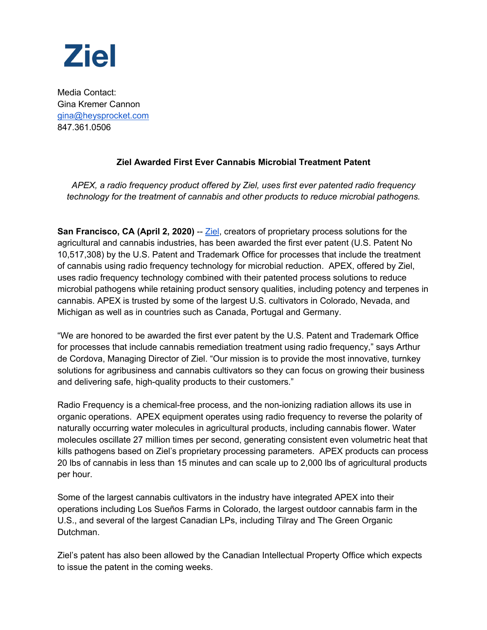

Media Contact: Gina Kremer Cannon gina@heysprocket.com 847.361.0506

## **Ziel Awarded First Ever Cannabis Microbial Treatment Patent**

*APEX, a radio frequency product offered by Ziel, uses first ever patented radio frequency technology for the treatment of cannabis and other products to reduce microbial pathogens.*

**San Francisco, CA (April 2, 2020)** -- Ziel, creators of proprietary process solutions for the agricultural and cannabis industries, has been awarded the first ever patent (U.S. Patent No 10,517,308) by the U.S. Patent and Trademark Office for processes that include the treatment of cannabis using radio frequency technology for microbial reduction. APEX, offered by Ziel, uses radio frequency technology combined with their patented process solutions to reduce microbial pathogens while retaining product sensory qualities, including potency and terpenes in cannabis. APEX is trusted by some of the largest U.S. cultivators in Colorado, Nevada, and Michigan as well as in countries such as Canada, Portugal and Germany.

"We are honored to be awarded the first ever patent by the U.S. Patent and Trademark Office for processes that include cannabis remediation treatment using radio frequency," says Arthur de Cordova, Managing Director of Ziel. "Our mission is to provide the most innovative, turnkey solutions for agribusiness and cannabis cultivators so they can focus on growing their business and delivering safe, high-quality products to their customers."

Radio Frequency is a chemical-free process, and the non-ionizing radiation allows its use in organic operations. APEX equipment operates using radio frequency to reverse the polarity of naturally occurring water molecules in agricultural products, including cannabis flower. Water molecules oscillate 27 million times per second, generating consistent even volumetric heat that kills pathogens based on Ziel's proprietary processing parameters. APEX products can process 20 lbs of cannabis in less than 15 minutes and can scale up to 2,000 lbs of agricultural products per hour.

Some of the largest cannabis cultivators in the industry have integrated APEX into their operations including Los Sueños Farms in Colorado, the largest outdoor cannabis farm in the U.S., and several of the largest Canadian LPs, including Tilray and The Green Organic Dutchman.

Ziel's patent has also been allowed by the Canadian Intellectual Property Office which expects to issue the patent in the coming weeks.